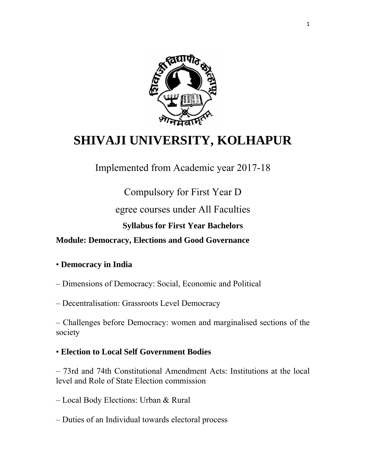

# **SHIVAJI UNIVERSITY, KOLHAPUR**

Implemented from Academic year 2017-18

Compulsory for First Year D

egree courses under All Faculties

# **Syllabus for First Year Bachelors**

**Module: Democracy, Elections and Good Governance** 

### • **Democracy in India**

– Dimensions of Democracy: Social, Economic and Political

– Decentralisation: Grassroots Level Democracy

– Challenges before Democracy: women and marginalised sections of the society

# • **Election to Local Self Government Bodies**

– 73rd and 74th Constitutional Amendment Acts: Institutions at the local level and Role of State Election commission

– Local Body Elections: Urban & Rural

– Duties of an Individual towards electoral process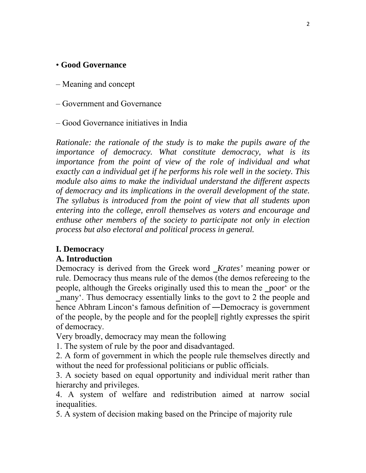### • **Good Governance**

- Meaning and concept
- Government and Governance
- Good Governance initiatives in India

*Rationale: the rationale of the study is to make the pupils aware of the importance of democracy. What constitute democracy, what is its importance from the point of view of the role of individual and what exactly can a individual get if he performs his role well in the society. This module also aims to make the individual understand the different aspects of democracy and its implications in the overall development of the state. The syllabus is introduced from the point of view that all students upon entering into the college, enroll themselves as voters and encourage and enthuse other members of the society to participate not only in election process but also electoral and political process in general.* 

#### **I. Democracy**

#### **A. Introduction**

Democracy is derived from the Greek word *Krates'* meaning power or rule. Democracy thus means rule of the demos (the demos refereeing to the people, although the Greeks originally used this to mean the poor' or the ‗many'. Thus democracy essentially links to the govt to 2 the people and hence Abhram Lincon's famous definition of —Democracy is government of the people, by the people and for the people|| rightly expresses the spirit of democracy.

Very broadly, democracy may mean the following

1. The system of rule by the poor and disadvantaged.

2. A form of government in which the people rule themselves directly and without the need for professional politicians or public officials.

3. A society based on equal opportunity and individual merit rather than hierarchy and privileges.

4. A system of welfare and redistribution aimed at narrow social inequalities.

5. A system of decision making based on the Principe of majority rule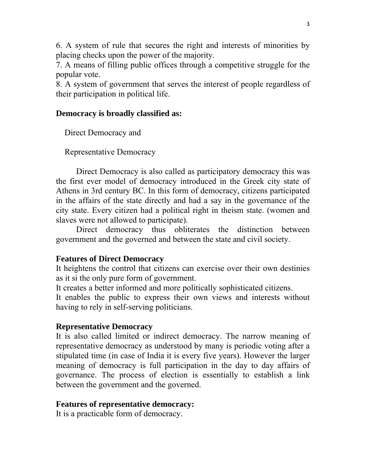6. A system of rule that secures the right and interests of minorities by placing checks upon the power of the majority.

7. A means of filling public offices through a competitive struggle for the popular vote.

8. A system of government that serves the interest of people regardless of their participation in political life.

#### **Democracy is broadly classified as:**

Direct Democracy and

Representative Democracy

Direct Democracy is also called as participatory democracy this was the first ever model of democracy introduced in the Greek city state of Athens in 3rd century BC. In this form of democracy, citizens participated in the affairs of the state directly and had a say in the governance of the city state. Every citizen had a political right in theism state. (women and slaves were not allowed to participate).

Direct democracy thus obliterates the distinction between government and the governed and between the state and civil society.

#### **Features of Direct Democracy**

It heightens the control that citizens can exercise over their own destinies as it si the only pure form of government.

It creates a better informed and more politically sophisticated citizens.

It enables the public to express their own views and interests without having to rely in self-serving politicians.

#### **Representative Democracy**

It is also called limited or indirect democracy. The narrow meaning of representative democracy as understood by many is periodic voting after a stipulated time (in case of India it is every five years). However the larger meaning of democracy is full participation in the day to day affairs of governance. The process of election is essentially to establish a link between the government and the governed.

#### **Features of representative democracy:**

It is a practicable form of democracy.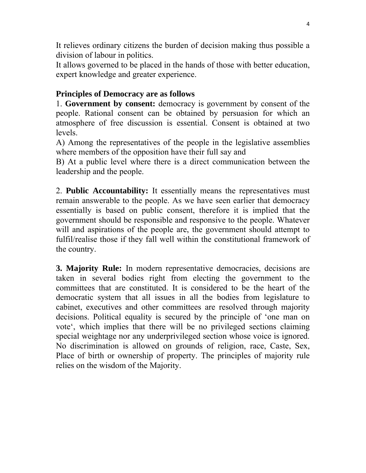It relieves ordinary citizens the burden of decision making thus possible a division of labour in politics.

It allows governed to be placed in the hands of those with better education, expert knowledge and greater experience.

# **Principles of Democracy are as follows**

1. **Government by consent:** democracy is government by consent of the people. Rational consent can be obtained by persuasion for which an atmosphere of free discussion is essential. Consent is obtained at two levels.

A) Among the representatives of the people in the legislative assemblies where members of the opposition have their full say and

B) At a public level where there is a direct communication between the leadership and the people.

2. **Public Accountability:** It essentially means the representatives must remain answerable to the people. As we have seen earlier that democracy essentially is based on public consent, therefore it is implied that the government should be responsible and responsive to the people. Whatever will and aspirations of the people are, the government should attempt to fulfil/realise those if they fall well within the constitutional framework of the country.

**3. Majority Rule:** In modern representative democracies, decisions are taken in several bodies right from electing the government to the committees that are constituted. It is considered to be the heart of the democratic system that all issues in all the bodies from legislature to cabinet, executives and other committees are resolved through majority decisions. Political equality is secured by the principle of 'one man on vote', which implies that there will be no privileged sections claiming special weightage nor any underprivileged section whose voice is ignored. No discrimination is allowed on grounds of religion, race, Caste, Sex, Place of birth or ownership of property. The principles of majority rule relies on the wisdom of the Majority.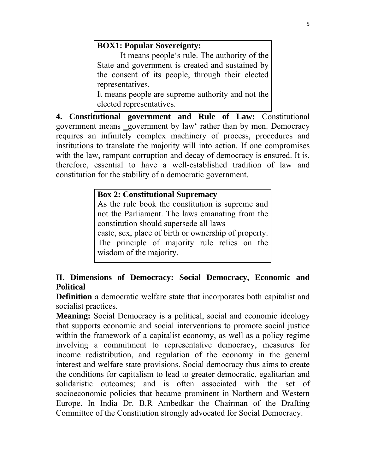# **BOX1: Popular Sovereignty:**

 It means people's rule. The authority of the State and government is created and sustained by the consent of its people, through their elected representatives. It means people are supreme authority and not the

elected representatives.

**4. Constitutional government and Rule of Law:** Constitutional government means government by law' rather than by men. Democracy requires an infinitely complex machinery of process, procedures and institutions to translate the majority will into action. If one compromises with the law, rampant corruption and decay of democracy is ensured. It is, therefore, essential to have a well-established tradition of law and constitution for the stability of a democratic government.

### **Box 2: Constitutional Supremacy**

As the rule book the constitution is supreme and not the Parliament. The laws emanating from the constitution should supersede all laws caste, sex, place of birth or ownership of property. The principle of majority rule relies on the wisdom of the majority.

# **II. Dimensions of Democracy: Social Democracy, Economic and Political**

**Definition** a democratic welfare state that incorporates both capitalist and socialist practices.

**Meaning:** Social Democracy is a political, social and economic ideology that supports economic and social interventions to promote social justice within the framework of a capitalist economy, as well as a policy regime involving a commitment to representative democracy, measures for income redistribution, and regulation of the economy in the general interest and welfare state provisions. Social democracy thus aims to create the conditions for capitalism to lead to greater democratic, egalitarian and solidaristic outcomes; and is often associated with the set of socioeconomic policies that became prominent in Northern and Western Europe. In India Dr. B.R Ambedkar the Chairman of the Drafting Committee of the Constitution strongly advocated for Social Democracy.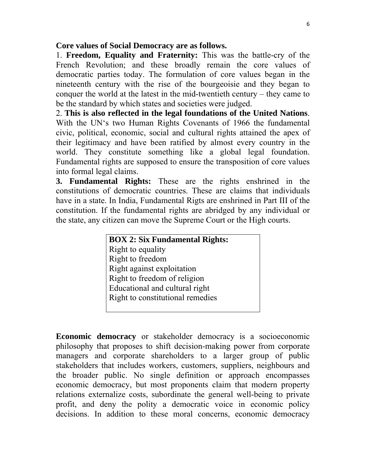### **Core values of Social Democracy are as follows.**

1. **Freedom, Equality and Fraternity:** This was the battle-cry of the French Revolution; and these broadly remain the core values of democratic parties today. The formulation of core values began in the nineteenth century with the rise of the bourgeoisie and they began to conquer the world at the latest in the mid-twentieth century – they came to be the standard by which states and societies were judged.

2. **This is also reflected in the legal foundations of the United Nations**. With the UN's two Human Rights Covenants of 1966 the fundamental civic, political, economic, social and cultural rights attained the apex of their legitimacy and have been ratified by almost every country in the world. They constitute something like a global legal foundation. Fundamental rights are supposed to ensure the transposition of core values into formal legal claims.

**3. Fundamental Rights:** These are the rights enshrined in the constitutions of democratic countries. These are claims that individuals have in a state. In India, Fundamental Rigts are enshrined in Part III of the constitution. If the fundamental rights are abridged by any individual or the state, any citizen can move the Supreme Court or the High courts.

| <b>BOX 2: Six Fundamental Rights:</b> |
|---------------------------------------|
| Right to equality                     |
| Right to freedom                      |
| Right against exploitation            |
| Right to freedom of religion          |
| Educational and cultural right        |
| Right to constitutional remedies      |
|                                       |

**Economic democracy** or stakeholder democracy is a socioeconomic philosophy that proposes to shift decision-making power from corporate managers and corporate shareholders to a larger group of public stakeholders that includes workers, customers, suppliers, neighbours and the broader public. No single definition or approach encompasses economic democracy, but most proponents claim that modern property relations externalize costs, subordinate the general well-being to private profit, and deny the polity a democratic voice in economic policy decisions. In addition to these moral concerns, economic democracy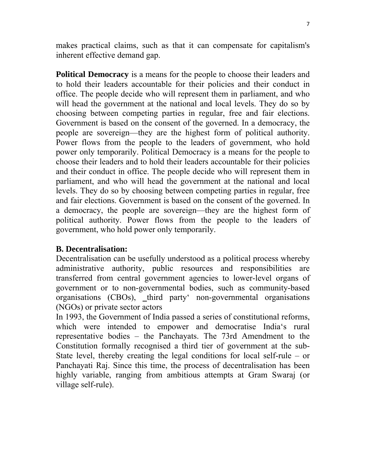makes practical claims, such as that it can compensate for capitalism's inherent effective demand gap.

**Political Democracy** is a means for the people to choose their leaders and to hold their leaders accountable for their policies and their conduct in office. The people decide who will represent them in parliament, and who will head the government at the national and local levels. They do so by choosing between competing parties in regular, free and fair elections. Government is based on the consent of the governed. In a democracy, the people are sovereign—they are the highest form of political authority. Power flows from the people to the leaders of government, who hold power only temporarily. Political Democracy is a means for the people to choose their leaders and to hold their leaders accountable for their policies and their conduct in office. The people decide who will represent them in parliament, and who will head the government at the national and local levels. They do so by choosing between competing parties in regular, free and fair elections. Government is based on the consent of the governed. In a democracy, the people are sovereign—they are the highest form of political authority. Power flows from the people to the leaders of government, who hold power only temporarily.

### **B. Decentralisation:**

Decentralisation can be usefully understood as a political process whereby administrative authority, public resources and responsibilities are transferred from central government agencies to lower-level organs of government or to non-governmental bodies, such as community-based organisations (CBOs), \_third party' non-governmental organisations (NGOs) or private sector actors

In 1993, the Government of India passed a series of constitutional reforms, which were intended to empower and democratise India's rural representative bodies – the Panchayats. The 73rd Amendment to the Constitution formally recognised a third tier of government at the sub-State level, thereby creating the legal conditions for local self-rule – or Panchayati Raj. Since this time, the process of decentralisation has been highly variable, ranging from ambitious attempts at Gram Swaraj (or village self-rule).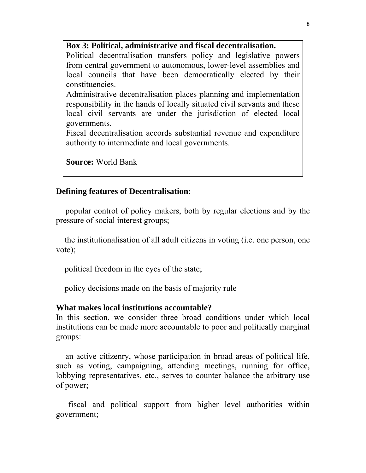#### **Box 3: Political, administrative and fiscal decentralisation.**

Political decentralisation transfers policy and legislative powers from central government to autonomous, lower-level assemblies and local councils that have been democratically elected by their constituencies.

Administrative decentralisation places planning and implementation responsibility in the hands of locally situated civil servants and these local civil servants are under the jurisdiction of elected local governments.

Fiscal decentralisation accords substantial revenue and expenditure authority to intermediate and local governments.

**Source:** World Bank

#### **Defining features of Decentralisation:**

 popular control of policy makers, both by regular elections and by the pressure of social interest groups;

 the institutionalisation of all adult citizens in voting (i.e. one person, one vote);

political freedom in the eyes of the state;

policy decisions made on the basis of majority rule

#### **What makes local institutions accountable?**

In this section, we consider three broad conditions under which local institutions can be made more accountable to poor and politically marginal groups:

 an active citizenry, whose participation in broad areas of political life, such as voting, campaigning, attending meetings, running for office, lobbying representatives, etc., serves to counter balance the arbitrary use of power;

 fiscal and political support from higher level authorities within government;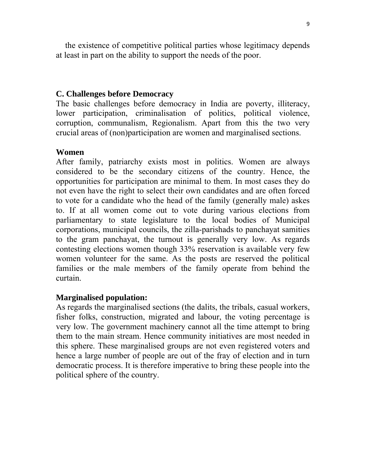the existence of competitive political parties whose legitimacy depends at least in part on the ability to support the needs of the poor.

#### **C. Challenges before Democracy**

The basic challenges before democracy in India are poverty, illiteracy, lower participation, criminalisation of politics, political violence, corruption, communalism, Regionalism. Apart from this the two very crucial areas of (non)participation are women and marginalised sections.

#### **Women**

After family, patriarchy exists most in politics. Women are always considered to be the secondary citizens of the country. Hence, the opportunities for participation are minimal to them. In most cases they do not even have the right to select their own candidates and are often forced to vote for a candidate who the head of the family (generally male) askes to. If at all women come out to vote during various elections from parliamentary to state legislature to the local bodies of Municipal corporations, municipal councils, the zilla-parishads to panchayat samities to the gram panchayat, the turnout is generally very low. As regards contesting elections women though 33% reservation is available very few women volunteer for the same. As the posts are reserved the political families or the male members of the family operate from behind the curtain.

### **Marginalised population:**

As regards the marginalised sections (the dalits, the tribals, casual workers, fisher folks, construction, migrated and labour, the voting percentage is very low. The government machinery cannot all the time attempt to bring them to the main stream. Hence community initiatives are most needed in this sphere. These marginalised groups are not even registered voters and hence a large number of people are out of the fray of election and in turn democratic process. It is therefore imperative to bring these people into the political sphere of the country.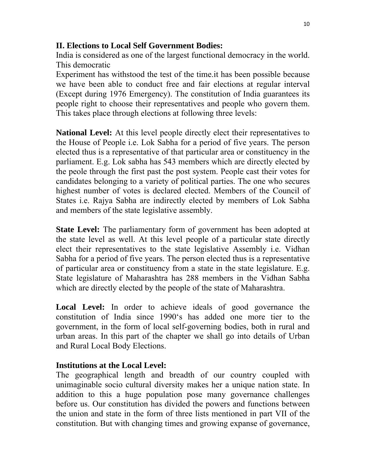### **II. Elections to Local Self Government Bodies:**

India is considered as one of the largest functional democracy in the world. This democratic

Experiment has withstood the test of the time.it has been possible because we have been able to conduct free and fair elections at regular interval (Except during 1976 Emergency). The constitution of India guarantees its people right to choose their representatives and people who govern them. This takes place through elections at following three levels:

**National Level:** At this level people directly elect their representatives to the House of People i.e. Lok Sabha for a period of five years. The person elected thus is a representative of that particular area or constituency in the parliament. E.g. Lok sabha has 543 members which are directly elected by the peole through the first past the post system. People cast their votes for candidates belonging to a variety of political parties. The one who secures highest number of votes is declared elected. Members of the Council of States i.e. Rajya Sabha are indirectly elected by members of Lok Sabha and members of the state legislative assembly.

**State Level:** The parliamentary form of government has been adopted at the state level as well. At this level people of a particular state directly elect their representatives to the state legislative Assembly i.e. Vidhan Sabha for a period of five years. The person elected thus is a representative of particular area or constituency from a state in the state legislature. E.g. State legislature of Maharashtra has 288 members in the Vidhan Sabha which are directly elected by the people of the state of Maharashtra.

Local Level: In order to achieve ideals of good governance the constitution of India since 1990's has added one more tier to the government, in the form of local self-governing bodies, both in rural and urban areas. In this part of the chapter we shall go into details of Urban and Rural Local Body Elections.

# **Institutions at the Local Level:**

The geographical length and breadth of our country coupled with unimaginable socio cultural diversity makes her a unique nation state. In addition to this a huge population pose many governance challenges before us. Our constitution has divided the powers and functions between the union and state in the form of three lists mentioned in part VII of the constitution. But with changing times and growing expanse of governance,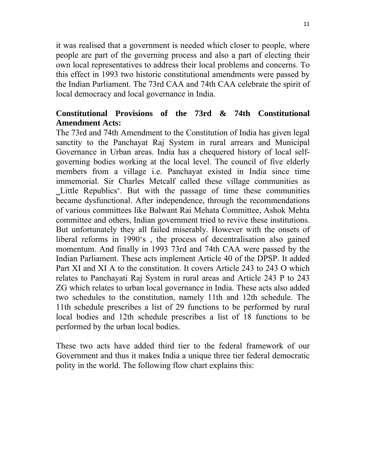it was realised that a government is needed which closer to people, where people are part of the governing process and also a part of electing their own local representatives to address their local problems and concerns. To this effect in 1993 two historic constitutional amendments were passed by the Indian Parliament. The 73rd CAA and 74th CAA celebrate the spirit of local democracy and local governance in India.

# **Constitutional Provisions of the 73rd & 74th Constitutional Amendment Acts:**

The 73rd and 74th Amendment to the Constitution of India has given legal sanctity to the Panchayat Raj System in rural arrears and Municipal Governance in Urban areas. India has a chequered history of local selfgoverning bodies working at the local level. The council of five elderly members from a village i.e. Panchayat existed in India since time immemorial. Sir Charles Metcalf called these village communities as Little Republics'. But with the passage of time these communities became dysfunctional. After independence, through the recommendations of various committees like Balwant Rai Mehata Committee, Ashok Mehta committee and others, Indian government tried to revive these institutions. But unfortunately they all failed miserably. However with the onsets of liberal reforms in 1990's , the process of decentralisation also gained momentum. And finally in 1993 73rd and 74th CAA were passed by the Indian Parliament. These acts implement Article 40 of the DPSP. It added Part XI and XI A to the constitution. It covers Article 243 to 243 O which relates to Panchayati Raj System in rural areas and Article 243 P to 243 ZG which relates to urban local governance in India. These acts also added two schedules to the constitution, namely 11th and 12th schedule. The 11th schedule prescribes a list of 29 functions to be performed by rural local bodies and 12th schedule prescribes a list of 18 functions to be performed by the urban local bodies.

These two acts have added third tier to the federal framework of our Government and thus it makes India a unique three tier federal democratic polity in the world. The following flow chart explains this: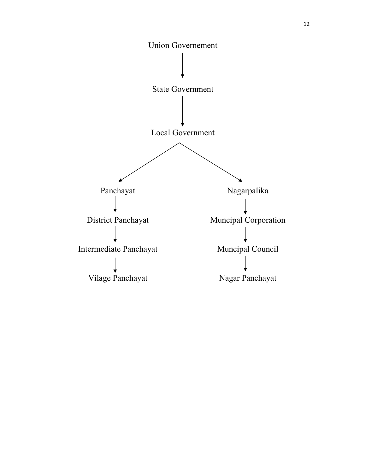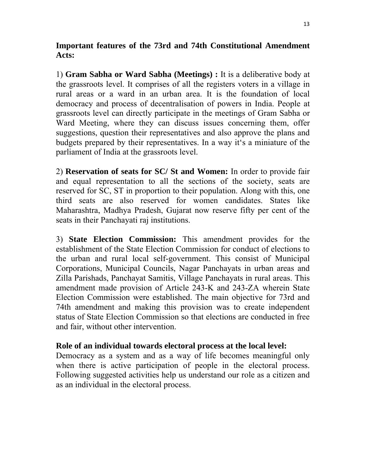### **Important features of the 73rd and 74th Constitutional Amendment Acts:**

1) **Gram Sabha or Ward Sabha (Meetings) :** It is a deliberative body at the grassroots level. It comprises of all the registers voters in a village in rural areas or a ward in an urban area. It is the foundation of local democracy and process of decentralisation of powers in India. People at grassroots level can directly participate in the meetings of Gram Sabha or Ward Meeting, where they can discuss issues concerning them, offer suggestions, question their representatives and also approve the plans and budgets prepared by their representatives. In a way it's a miniature of the parliament of India at the grassroots level.

2) **Reservation of seats for SC/ St and Women:** In order to provide fair and equal representation to all the sections of the society, seats are reserved for SC, ST in proportion to their population. Along with this, one third seats are also reserved for women candidates. States like Maharashtra, Madhya Pradesh, Gujarat now reserve fifty per cent of the seats in their Panchayati raj institutions.

3) **State Election Commission:** This amendment provides for the establishment of the State Election Commission for conduct of elections to the urban and rural local self-government. This consist of Municipal Corporations, Municipal Councils, Nagar Panchayats in urban areas and Zilla Parishads, Panchayat Samitis, Village Panchayats in rural areas. This amendment made provision of Article 243-K and 243-ZA wherein State Election Commission were established. The main objective for 73rd and 74th amendment and making this provision was to create independent status of State Election Commission so that elections are conducted in free and fair, without other intervention.

### **Role of an individual towards electoral process at the local level:**

Democracy as a system and as a way of life becomes meaningful only when there is active participation of people in the electoral process. Following suggested activities help us understand our role as a citizen and as an individual in the electoral process.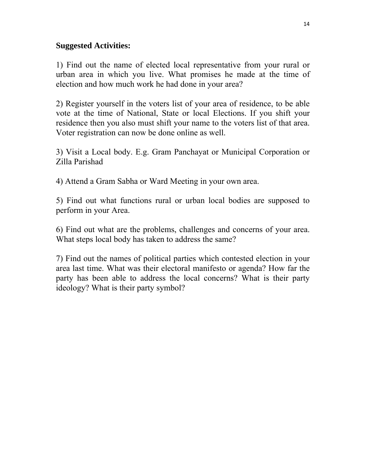### **Suggested Activities:**

1) Find out the name of elected local representative from your rural or urban area in which you live. What promises he made at the time of election and how much work he had done in your area?

2) Register yourself in the voters list of your area of residence, to be able vote at the time of National, State or local Elections. If you shift your residence then you also must shift your name to the voters list of that area. Voter registration can now be done online as well.

3) Visit a Local body. E.g. Gram Panchayat or Municipal Corporation or Zilla Parishad

4) Attend a Gram Sabha or Ward Meeting in your own area.

5) Find out what functions rural or urban local bodies are supposed to perform in your Area.

6) Find out what are the problems, challenges and concerns of your area. What steps local body has taken to address the same?

7) Find out the names of political parties which contested election in your area last time. What was their electoral manifesto or agenda? How far the party has been able to address the local concerns? What is their party ideology? What is their party symbol?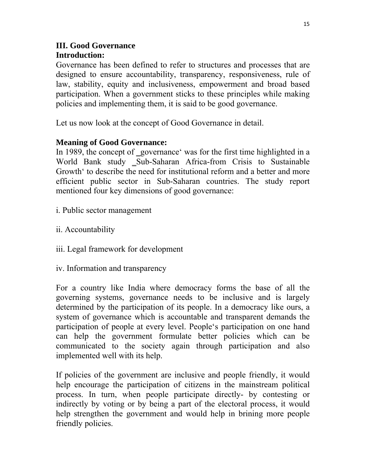### **III. Good Governance Introduction:**

Governance has been defined to refer to structures and processes that are designed to ensure accountability, transparency, responsiveness, rule of law, stability, equity and inclusiveness, empowerment and broad based participation. When a government sticks to these principles while making policies and implementing them, it is said to be good governance.

Let us now look at the concept of Good Governance in detail.

### **Meaning of Good Governance:**

In 1989, the concept of governance was for the first time highlighted in a World Bank study Sub-Saharan Africa-from Crisis to Sustainable Growth' to describe the need for institutional reform and a better and more efficient public sector in Sub-Saharan countries. The study report mentioned four key dimensions of good governance:

- i. Public sector management
- ii. Accountability
- iii. Legal framework for development
- iv. Information and transparency

For a country like India where democracy forms the base of all the governing systems, governance needs to be inclusive and is largely determined by the participation of its people. In a democracy like ours, a system of governance which is accountable and transparent demands the participation of people at every level. People's participation on one hand can help the government formulate better policies which can be communicated to the society again through participation and also implemented well with its help.

If policies of the government are inclusive and people friendly, it would help encourage the participation of citizens in the mainstream political process. In turn, when people participate directly- by contesting or indirectly by voting or by being a part of the electoral process, it would help strengthen the government and would help in brining more people friendly policies.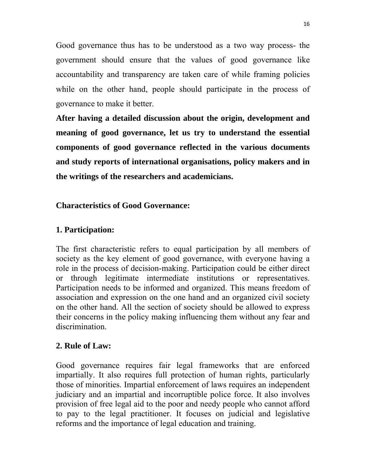Good governance thus has to be understood as a two way process- the government should ensure that the values of good governance like accountability and transparency are taken care of while framing policies while on the other hand, people should participate in the process of governance to make it better.

**After having a detailed discussion about the origin, development and meaning of good governance, let us try to understand the essential components of good governance reflected in the various documents and study reports of international organisations, policy makers and in the writings of the researchers and academicians.** 

### **Characteristics of Good Governance:**

#### **1. Participation:**

The first characteristic refers to equal participation by all members of society as the key element of good governance, with everyone having a role in the process of decision-making. Participation could be either direct or through legitimate intermediate institutions or representatives. Participation needs to be informed and organized. This means freedom of association and expression on the one hand and an organized civil society on the other hand. All the section of society should be allowed to express their concerns in the policy making influencing them without any fear and discrimination.

### **2. Rule of Law:**

Good governance requires fair legal frameworks that are enforced impartially. It also requires full protection of human rights, particularly those of minorities. Impartial enforcement of laws requires an independent judiciary and an impartial and incorruptible police force. It also involves provision of free legal aid to the poor and needy people who cannot afford to pay to the legal practitioner. It focuses on judicial and legislative reforms and the importance of legal education and training.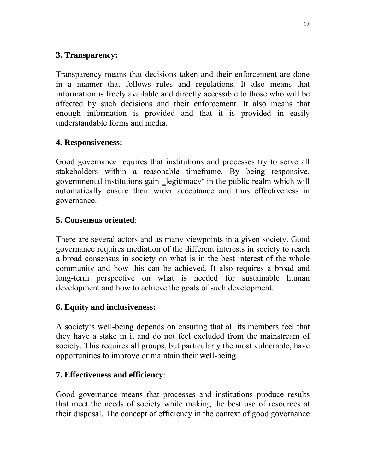## **3. Transparency:**

Transparency means that decisions taken and their enforcement are done in a manner that follows rules and regulations. It also means that information is freely available and directly accessible to those who will be affected by such decisions and their enforcement. It also means that enough information is provided and that it is provided in easily understandable forms and media.

# **4. Responsiveness:**

Good governance requires that institutions and processes try to serve all stakeholders within a reasonable timeframe. By being responsive, governmental institutions gain legitimacy' in the public realm which will automatically ensure their wider acceptance and thus effectiveness in governance.

# **5. Consensus oriented**:

There are several actors and as many viewpoints in a given society. Good governance requires mediation of the different interests in society to reach a broad consensus in society on what is in the best interest of the whole community and how this can be achieved. It also requires a broad and long-term perspective on what is needed for sustainable human development and how to achieve the goals of such development.

### **6. Equity and inclusiveness:**

A society's well-being depends on ensuring that all its members feel that they have a stake in it and do not feel excluded from the mainstream of society. This requires all groups, but particularly the most vulnerable, have opportunities to improve or maintain their well-being.

# **7. Effectiveness and efficiency**:

Good governance means that processes and institutions produce results that meet the needs of society while making the best use of resources at their disposal. The concept of efficiency in the context of good governance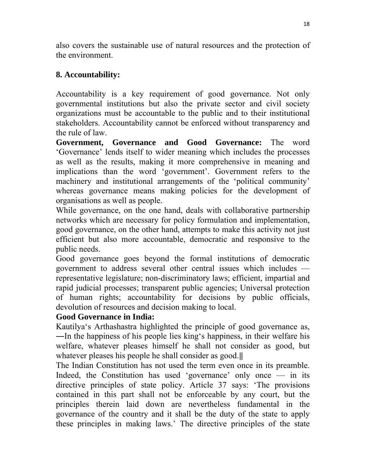also covers the sustainable use of natural resources and the protection of the environment.

# **8. Accountability:**

Accountability is a key requirement of good governance. Not only governmental institutions but also the private sector and civil society organizations must be accountable to the public and to their institutional stakeholders. Accountability cannot be enforced without transparency and the rule of law.

**Government, Governance and Good Governance:** The word 'Governance' lends itself to wider meaning which includes the processes as well as the results, making it more comprehensive in meaning and implications than the word 'government'. Government refers to the machinery and institutional arrangements of the 'political community' whereas governance means making policies for the development of organisations as well as people.

While governance, on the one hand, deals with collaborative partnership networks which are necessary for policy formulation and implementation, good governance, on the other hand, attempts to make this activity not just efficient but also more accountable, democratic and responsive to the public needs.

Good governance goes beyond the formal institutions of democratic government to address several other central issues which includes representative legislature; non-discriminatory laws; efficient, impartial and rapid judicial processes; transparent public agencies; Universal protection of human rights; accountability for decisions by public officials, devolution of resources and decision making to local.

### **Good Governance in India:**

Kautilya's Arthashastra highlighted the principle of good governance as, ―In the happiness of his people lies king's happiness, in their welfare his welfare, whatever pleases himself he shall not consider as good, but whatever pleases his people he shall consider as good.

The Indian Constitution has not used the term even once in its preamble. Indeed, the Constitution has used 'governance' only once — in its directive principles of state policy. Article 37 says: 'The provisions contained in this part shall not be enforceable by any court, but the principles therein laid down are nevertheless fundamental in the governance of the country and it shall be the duty of the state to apply these principles in making laws.' The directive principles of the state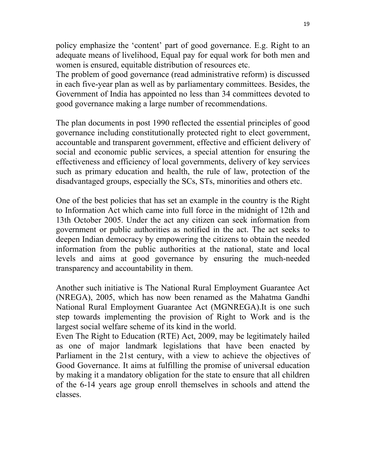policy emphasize the 'content' part of good governance. E.g. Right to an adequate means of livelihood, Equal pay for equal work for both men and women is ensured, equitable distribution of resources etc.

The problem of good governance (read administrative reform) is discussed in each five-year plan as well as by parliamentary committees. Besides, the Government of India has appointed no less than 34 committees devoted to good governance making a large number of recommendations.

The plan documents in post 1990 reflected the essential principles of good governance including constitutionally protected right to elect government, accountable and transparent government, effective and efficient delivery of social and economic public services, a special attention for ensuring the effectiveness and efficiency of local governments, delivery of key services such as primary education and health, the rule of law, protection of the disadvantaged groups, especially the SCs, STs, minorities and others etc.

One of the best policies that has set an example in the country is the Right to Information Act which came into full force in the midnight of 12th and 13th October 2005. Under the act any citizen can seek information from government or public authorities as notified in the act. The act seeks to deepen Indian democracy by empowering the citizens to obtain the needed information from the public authorities at the national, state and local levels and aims at good governance by ensuring the much-needed transparency and accountability in them.

Another such initiative is The National Rural Employment Guarantee Act (NREGA), 2005, which has now been renamed as the Mahatma Gandhi National Rural Employment Guarantee Act (MGNREGA).It is one such step towards implementing the provision of Right to Work and is the largest social welfare scheme of its kind in the world.

Even The Right to Education (RTE) Act, 2009, may be legitimately hailed as one of major landmark legislations that have been enacted by Parliament in the 21st century, with a view to achieve the objectives of Good Governance. It aims at fulfilling the promise of universal education by making it a mandatory obligation for the state to ensure that all children of the 6-14 years age group enroll themselves in schools and attend the classes.